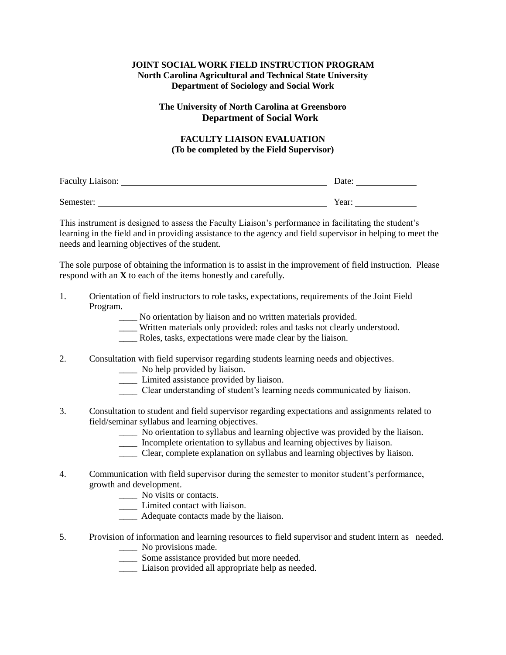## **JOINT SOCIAL WORK FIELD INSTRUCTION PROGRAM North Carolina Agricultural and Technical State University Department of Sociology and Social Work**

## **The University of North Carolina at Greensboro Department of Social Work**

## **FACULTY LIAISON EVALUATION (To be completed by the Field Supervisor)**

| Faculty Liaison: | Date: |
|------------------|-------|
|                  |       |
| Semester:        | Year: |

This instrument is designed to assess the Faculty Liaison's performance in facilitating the student's learning in the field and in providing assistance to the agency and field supervisor in helping to meet the needs and learning objectives of the student.

The sole purpose of obtaining the information is to assist in the improvement of field instruction. Please respond with an **X** to each of the items honestly and carefully.

- 1. Orientation of field instructors to role tasks, expectations, requirements of the Joint Field Program.
	- No orientation by liaison and no written materials provided.
	- \_\_\_\_ Written materials only provided: roles and tasks not clearly understood.
	- \_\_\_\_ Roles, tasks, expectations were made clear by the liaison.
- 2. Consultation with field supervisor regarding students learning needs and objectives.
	- No help provided by liaison.
	- \_\_\_\_ Limited assistance provided by liaison.
	- \_\_\_\_ Clear understanding of student's learning needs communicated by liaison.
- 3. Consultation to student and field supervisor regarding expectations and assignments related to field/seminar syllabus and learning objectives.
	- \_\_\_\_ No orientation to syllabus and learning objective was provided by the liaison.
	- \_\_\_\_ Incomplete orientation to syllabus and learning objectives by liaison.
	- \_\_\_\_ Clear, complete explanation on syllabus and learning objectives by liaison.
- 4. Communication with field supervisor during the semester to monitor student's performance, growth and development.
	- \_\_\_\_ No visits or contacts.
	- \_\_\_\_ Limited contact with liaison.
	- \_\_\_\_ Adequate contacts made by the liaison.
- 5. Provision of information and learning resources to field supervisor and student intern as needed. \_\_\_\_ No provisions made.
	- \_\_\_\_ Some assistance provided but more needed.
	- \_\_\_\_ Liaison provided all appropriate help as needed.